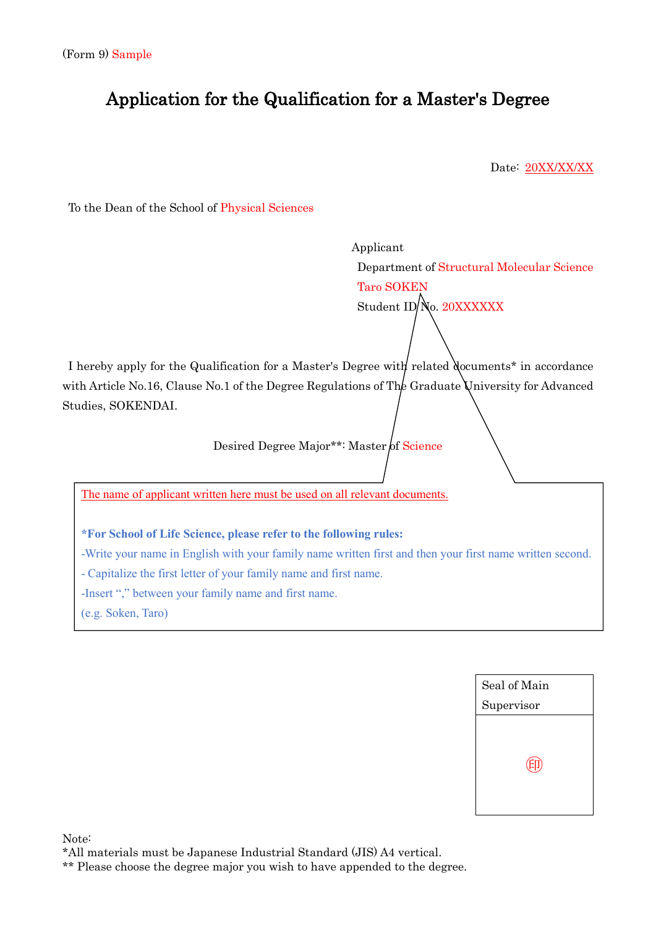## Application for the Qualification for a Master's Degree

Date: 20XX/XX/XX

To the Dean of the School of Physical Sciences

Applicant Department of Structural Molecular Science Taro SOKEN Student ID/No. 20XXXXXX

I hereby apply for the Qualification for a Master's Degree with related documents<sup>\*</sup> in accordance with Article No.16, Clause No.1 of the Degree Regulations of The Graduate University for Advanced Studies, SOKENDAI.

Desired Degree Major\*\*: Master of Science

The name of applicant written here must be used on all relevant documents.

**\*For School of Life Science, please refer to the following rules:**

-Write your name in English with your family name written first and then your first name written second.

- Capitalize the first letter of your family name and first name.

-Insert "," between your family name and first name.

(e.g. Soken, Taro)

| Seal of Main |  |  |
|--------------|--|--|
| Supervisor   |  |  |
|              |  |  |
|              |  |  |
| (EI)         |  |  |
|              |  |  |
|              |  |  |

Note:

\*All materials must be Japanese Industrial Standard (JIS) A4 vertical.

\*\* Please choose the degree major you wish to have appended to the degree.